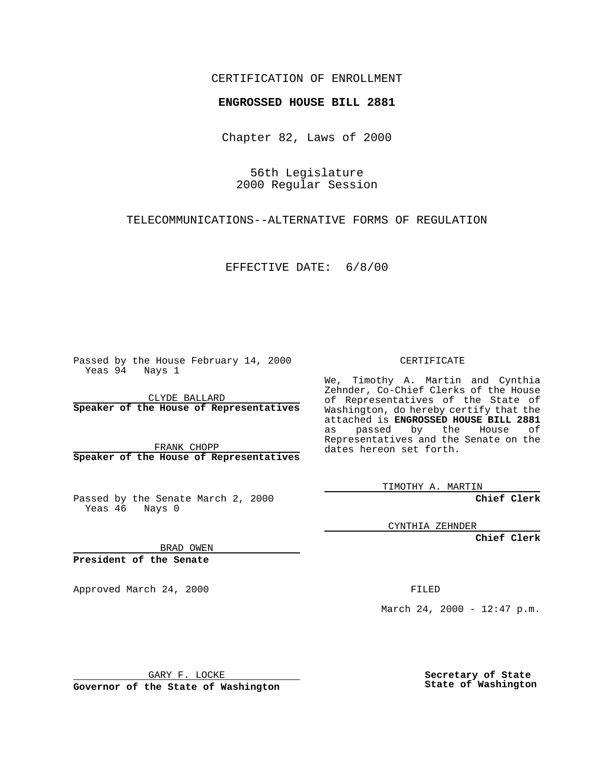## CERTIFICATION OF ENROLLMENT

## **ENGROSSED HOUSE BILL 2881**

Chapter 82, Laws of 2000

56th Legislature 2000 Regular Session

TELECOMMUNICATIONS--ALTERNATIVE FORMS OF REGULATION

EFFECTIVE DATE: 6/8/00

Passed by the House February 14, 2000 Yeas 94 Nays 1

CLYDE BALLARD **Speaker of the House of Representatives**

FRANK CHOPP **Speaker of the House of Representatives**

Passed by the Senate March 2, 2000 Yeas 46 Nays 0

CERTIFICATE

We, Timothy A. Martin and Cynthia Zehnder, Co-Chief Clerks of the House of Representatives of the State of Washington, do hereby certify that the attached is **ENGROSSED HOUSE BILL 2881** as passed by the House of Representatives and the Senate on the dates hereon set forth.

TIMOTHY A. MARTIN

**Chief Clerk**

CYNTHIA ZEHNDER

**Chief Clerk**

BRAD OWEN

**President of the Senate**

Approved March 24, 2000 FILED

March 24, 2000 - 12:47 p.m.

GARY F. LOCKE

**Governor of the State of Washington**

**Secretary of State State of Washington**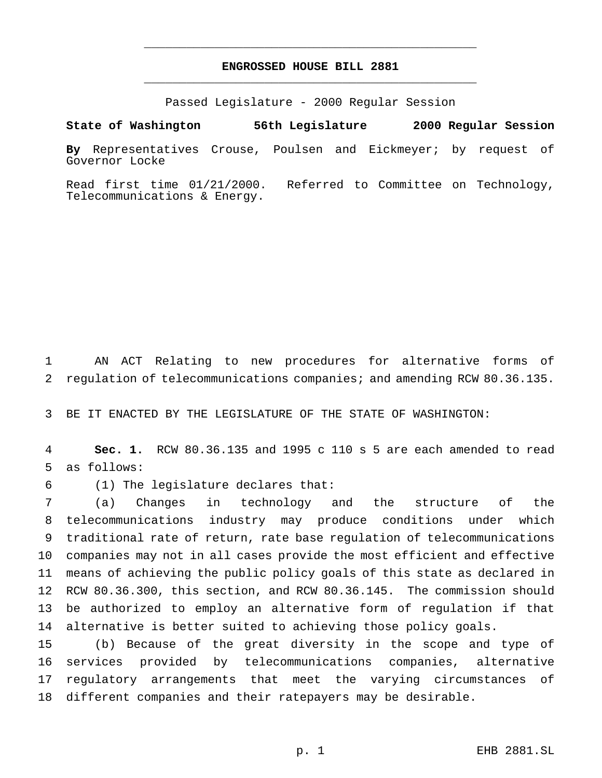## **ENGROSSED HOUSE BILL 2881** \_\_\_\_\_\_\_\_\_\_\_\_\_\_\_\_\_\_\_\_\_\_\_\_\_\_\_\_\_\_\_\_\_\_\_\_\_\_\_\_\_\_\_\_\_\_\_

\_\_\_\_\_\_\_\_\_\_\_\_\_\_\_\_\_\_\_\_\_\_\_\_\_\_\_\_\_\_\_\_\_\_\_\_\_\_\_\_\_\_\_\_\_\_\_

Passed Legislature - 2000 Regular Session

**State of Washington 56th Legislature 2000 Regular Session**

**By** Representatives Crouse, Poulsen and Eickmeyer; by request of Governor Locke

Read first time 01/21/2000. Referred to Committee on Technology, Telecommunications & Energy.

 AN ACT Relating to new procedures for alternative forms of regulation of telecommunications companies; and amending RCW 80.36.135.

BE IT ENACTED BY THE LEGISLATURE OF THE STATE OF WASHINGTON:

 **Sec. 1.** RCW 80.36.135 and 1995 c 110 s 5 are each amended to read as follows:

(1) The legislature declares that:

 (a) Changes in technology and the structure of the telecommunications industry may produce conditions under which traditional rate of return, rate base regulation of telecommunications companies may not in all cases provide the most efficient and effective means of achieving the public policy goals of this state as declared in RCW 80.36.300, this section, and RCW 80.36.145. The commission should be authorized to employ an alternative form of regulation if that alternative is better suited to achieving those policy goals.

 (b) Because of the great diversity in the scope and type of services provided by telecommunications companies, alternative regulatory arrangements that meet the varying circumstances of different companies and their ratepayers may be desirable.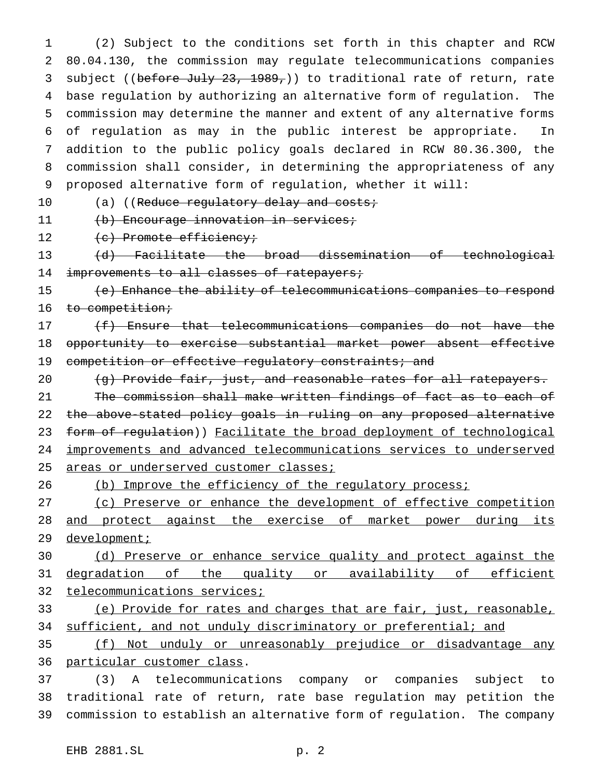(2) Subject to the conditions set forth in this chapter and RCW 80.04.130, the commission may regulate telecommunications companies 3 subject ((before July 23, 1989,)) to traditional rate of return, rate base regulation by authorizing an alternative form of regulation. The commission may determine the manner and extent of any alternative forms of regulation as may in the public interest be appropriate. In addition to the public policy goals declared in RCW 80.36.300, the commission shall consider, in determining the appropriateness of any proposed alternative form of regulation, whether it will:

10 (a) ((Reduce regulatory delay and costs;

11 (b) Encourage innovation in services;

12 (c) Promote efficiency;

 (d) Facilitate the broad dissemination of technological 14 improvements to all classes of ratepayers;

 (e) Enhance the ability of telecommunications companies to respond 16 to competition;

17 (f) Ensure that telecommunications companies do not have the opportunity to exercise substantial market power absent effective 19 competition or effective regulatory constraints; and

 $(q)$  Provide fair, just, and reasonable rates for all ratepayers. The commission shall make written findings of fact as to each of the above-stated policy goals in ruling on any proposed alternative 23 form of regulation)) Facilitate the broad deployment of technological improvements and advanced telecommunications services to underserved 25 areas or underserved customer classes;

26 (b) Improve the efficiency of the regulatory process;

 (c) Preserve or enhance the development of effective competition and protect against the exercise of market power during its 29 development;

 (d) Preserve or enhance service quality and protect against the 31 degradation of the quality or availability of efficient telecommunications services;

 (e) Provide for rates and charges that are fair, just, reasonable, 34 sufficient, and not unduly discriminatory or preferential; and

 (f) Not unduly or unreasonably prejudice or disadvantage any particular customer class.

 (3) A telecommunications company or companies subject to traditional rate of return, rate base regulation may petition the commission to establish an alternative form of regulation. The company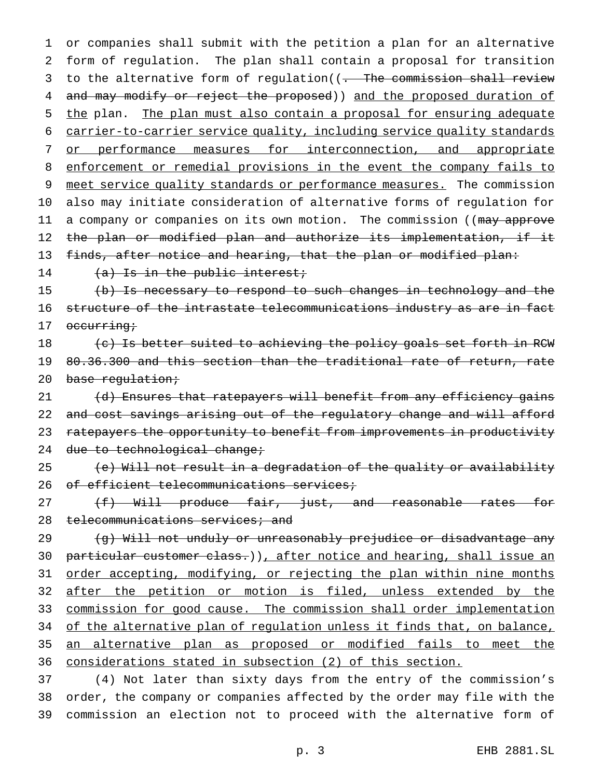1 or companies shall submit with the petition a plan for an alternative 2 form of regulation. The plan shall contain a proposal for transition 3 to the alternative form of regulation((- The commission shall review 4 and may modify or reject the proposed)) and the proposed duration of 5 the plan. The plan must also contain a proposal for ensuring adequate 6 carrier-to-carrier service quality, including service quality standards 7 or performance measures for interconnection, and appropriate 8 enforcement or remedial provisions in the event the company fails to 9 meet service quality standards or performance measures. The commission 10 also may initiate consideration of alternative forms of regulation for 11 a company or companies on its own motion. The commission ((may approve 12 the plan or modified plan and authorize its implementation, if it 13 finds, after notice and hearing, that the plan or modified plan:

14  $(a)$  Is in the public interest;

15 (b) Is necessary to respond to such changes in technology and the 16 structure of the intrastate telecommunications industry as are in fact 17 occurring;

 $18$  (c) Is better suited to achieving the policy goals set forth in RCW 19 80.36.300 and this section than the traditional rate of return, rate 20 base regulation;

21 (d) Ensures that ratepayers will benefit from any efficiency gains 22 and cost savings arising out of the regulatory change and will afford 23 ratepayers the opportunity to benefit from improvements in productivity 24 due to technological change;

25 (e) Will not result in a degradation of the quality or availability 26 of efficient telecommunications services;

27 (f) Will produce fair, just, and reasonable rates for 28 telecommunications services; and

 (g) Will not unduly or unreasonably prejudice or disadvantage any 30 particular customer class.)), after notice and hearing, shall issue an order accepting, modifying, or rejecting the plan within nine months 32 after the petition or motion is filed, unless extended by the commission for good cause. The commission shall order implementation 34 of the alternative plan of regulation unless it finds that, on balance, an alternative plan as proposed or modified fails to meet the considerations stated in subsection (2) of this section.

37 (4) Not later than sixty days from the entry of the commission's 38 order, the company or companies affected by the order may file with the 39 commission an election not to proceed with the alternative form of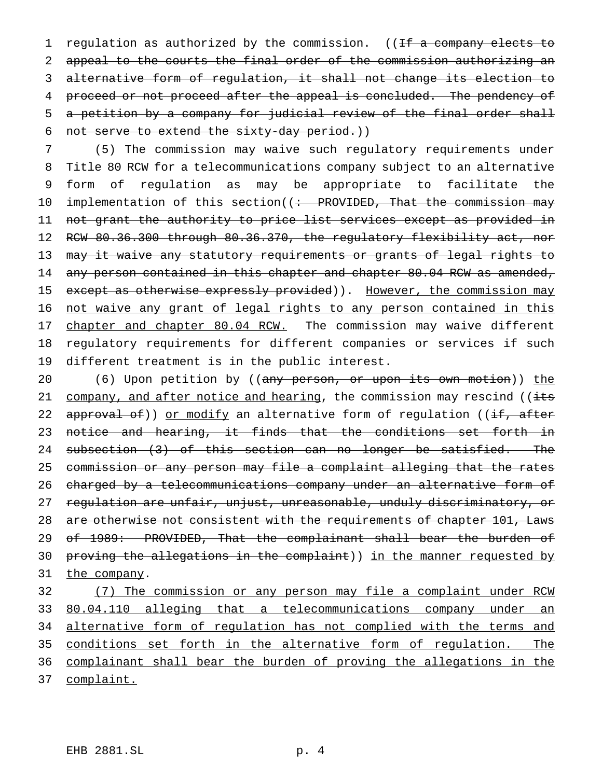1 regulation as authorized by the commission. ((If a company elects to appeal to the courts the final order of the commission authorizing an alternative form of regulation, it shall not change its election to 4 proceed or not proceed after the appeal is concluded. The pendency of a petition by a company for judicial review of the final order shall not serve to extend the sixty-day period.))

 (5) The commission may waive such regulatory requirements under Title 80 RCW for a telecommunications company subject to an alternative form of regulation as may be appropriate to facilitate the 10 implementation of this section((: PROVIDED, That the commission may not grant the authority to price list services except as provided in RCW 80.36.300 through 80.36.370, the regulatory flexibility act, nor 13 may it waive any statutory requirements or grants of legal rights to 14 any person contained in this chapter and chapter 80.04 RCW as amended, 15 except as otherwise expressly provided)). However, the commission may not waive any grant of legal rights to any person contained in this 17 chapter and chapter 80.04 RCW. The commission may waive different regulatory requirements for different companies or services if such different treatment is in the public interest.

20 (6) Upon petition by ((any person, or upon its own motion)) the 21 company, and after notice and hearing, the commission may rescind (( $\frac{1}{1+s}$ ) 22 approval of)) or modify an alternative form of regulation ((if, after notice and hearing, it finds that the conditions set forth in 24 subsection (3) of this section can no longer be satisfied. The commission or any person may file a complaint alleging that the rates charged by a telecommunications company under an alternative form of regulation are unfair, unjust, unreasonable, unduly discriminatory, or are otherwise not consistent with the requirements of chapter 101, Laws 29 of 1989: PROVIDED, That the complainant shall bear the burden of proving the allegations in the complaint)) in the manner requested by 31 the company.

 (7) The commission or any person may file a complaint under RCW 80.04.110 alleging that a telecommunications company under an 34 alternative form of regulation has not complied with the terms and conditions set forth in the alternative form of regulation. The complainant shall bear the burden of proving the allegations in the complaint.